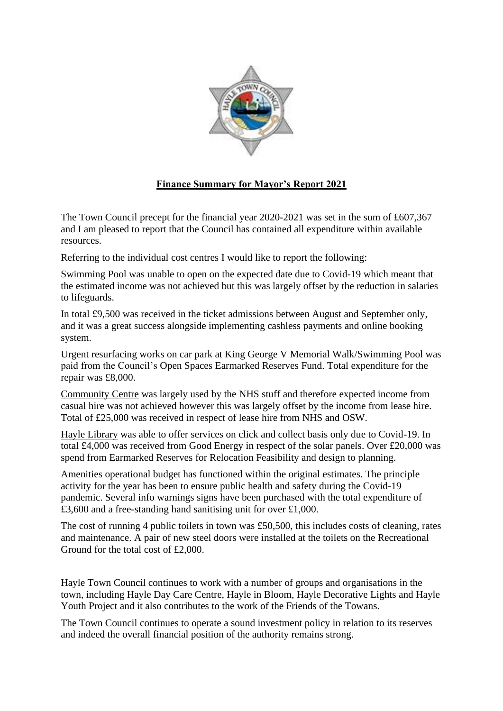

## **Finance Summary for Mayor's Report 2021**

The Town Council precept for the financial year 2020-2021 was set in the sum of £607,367 and I am pleased to report that the Council has contained all expenditure within available resources.

Referring to the individual cost centres I would like to report the following:

Swimming Pool was unable to open on the expected date due to Covid-19 which meant that the estimated income was not achieved but this was largely offset by the reduction in salaries to lifeguards.

In total £9,500 was received in the ticket admissions between August and September only, and it was a great success alongside implementing cashless payments and online booking system.

Urgent resurfacing works on car park at King George V Memorial Walk/Swimming Pool was paid from the Council's Open Spaces Earmarked Reserves Fund. Total expenditure for the repair was £8,000.

Community Centre was largely used by the NHS stuff and therefore expected income from casual hire was not achieved however this was largely offset by the income from lease hire. Total of £25,000 was received in respect of lease hire from NHS and OSW.

Hayle Library was able to offer services on click and collect basis only due to Covid-19. In total £4,000 was received from Good Energy in respect of the solar panels. Over £20,000 was spend from Earmarked Reserves for Relocation Feasibility and design to planning.

Amenities operational budget has functioned within the original estimates. The principle activity for the year has been to ensure public health and safety during the Covid-19 pandemic. Several info warnings signs have been purchased with the total expenditure of £3,600 and a free-standing hand sanitising unit for over £1,000.

The cost of running 4 public toilets in town was £50,500, this includes costs of cleaning, rates and maintenance. A pair of new steel doors were installed at the toilets on the Recreational Ground for the total cost of £2,000.

Hayle Town Council continues to work with a number of groups and organisations in the town, including Hayle Day Care Centre, Hayle in Bloom, Hayle Decorative Lights and Hayle Youth Project and it also contributes to the work of the Friends of the Towans.

The Town Council continues to operate a sound investment policy in relation to its reserves and indeed the overall financial position of the authority remains strong.